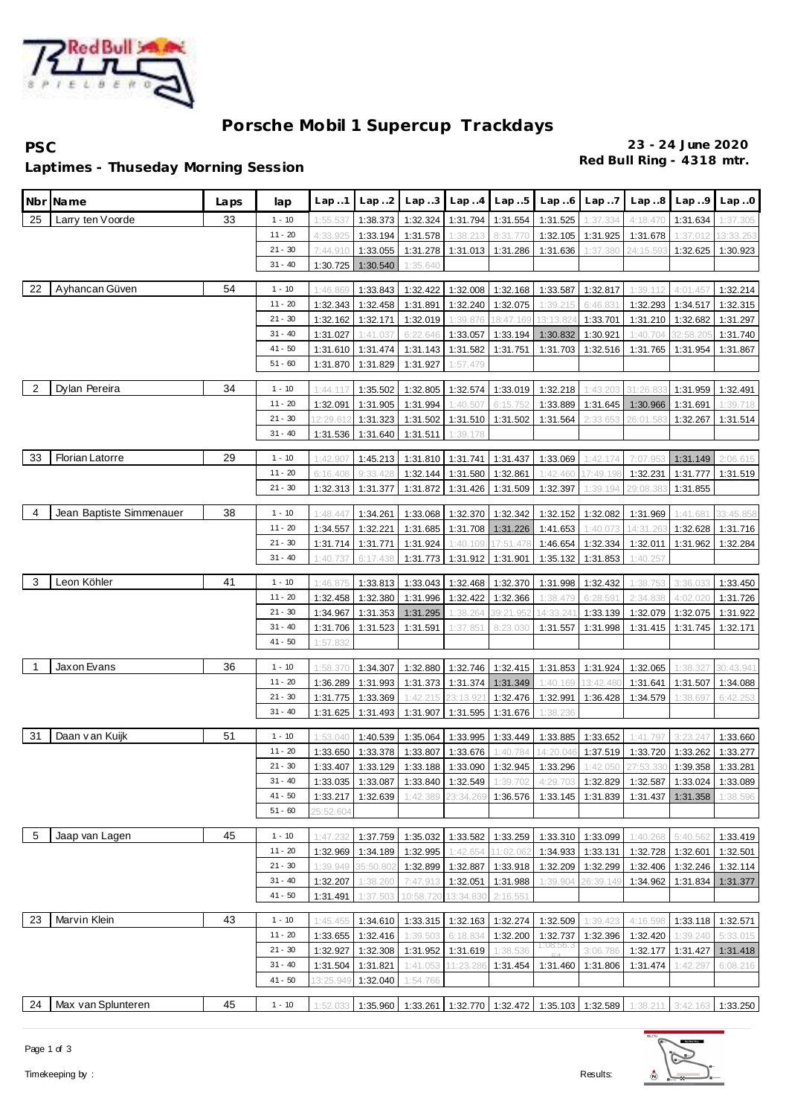

## **Porsche Mobil 1 Supercup Trackdays**

**PSC 23 - 24 June 2020**

**Red Bull Ring - 4318 mtr. Laptimes - Thuseday Morning Session**

| Nbr | Name                     | Laps | lap                    | Lap.1                | Lap.2                | Lap.3                | Lap.4                | Lap.5                | Lap.6                 | Lap.7                | Lap.8                      | Lap.9                | Lap.0                |
|-----|--------------------------|------|------------------------|----------------------|----------------------|----------------------|----------------------|----------------------|-----------------------|----------------------|----------------------------|----------------------|----------------------|
| 25  | Larry ten Voorde         | 33   | $1 - 10$               | 1:55.537             | 1:38.373             | 1:32.324             | 1:31.794             | 1:31.554             | 1:31.525              | 1:37.334             | 4:18.470                   | 1:31.634             | 1:37.305             |
|     |                          |      | $11 - 20$              | 4:33.925             | 1:33.194             | 1:31.578             | 1:38.213             | 8:31.77              | 1:32.105              | 1:31.925             | 1:31.678                   | 1:37.012             | 13:33.253            |
|     |                          |      | $21 - 30$              | 7:44.910             | 1:33.055             | 1:31.278             | 1:31.013             | 1:31.286             | 1:31.636              | 1:37.380             | 24:15.59                   | 1:32.625             | 1:30.923             |
|     |                          |      | $31 - 40$              | 1:30.725             | 1:30.540             | 1:35.640             |                      |                      |                       |                      |                            |                      |                      |
| 22  | Ayhancan Güven           | 54   | $1 - 10$               |                      |                      |                      |                      |                      |                       |                      |                            |                      |                      |
|     |                          |      | $11 - 20$              | 1:46.869             | 1:33.843             | 1:32.422             | 1:32.008             | 1:32.168             | 1:33.587              | 1:32.817             | 1:39.112<br>1:32.293       | 4:01.457             | 1:32.214             |
|     |                          |      | $21 - 30$              | 1:32.343<br>1:32.162 | 1:32.458             | 1:31.891<br>1:32.019 | 1:32.240<br>1:39.876 | 1:32.075<br>8:47.169 | 1:39.215<br>13:13.824 | 6:46.831             |                            | 1:34.517             | 1:32.315<br>1:31.297 |
|     |                          |      | $31 - 40$              | 1:31.027             | 1:32.171<br>1:41.037 | 6:22.646             | 1:33.057             | 1:33.194             | 1:30.832              | 1:33.701<br>1:30.921 | 1:31.210<br>1:40.704       | 1:32.682<br>32:58.20 | 1:31.740             |
|     |                          |      | $41 - 50$              | 1:31.610             | 1:31.474             | 1:31.143             | 1:31.582             | 1:31.751             | 1:31.703              | 1:32.516             | 1:31.765                   | 1:31.954             | 1:31.867             |
|     |                          |      | $51 - 60$              | 1:31.870             | 1:31.829             | 1:31.927             | 1:57.479             |                      |                       |                      |                            |                      |                      |
|     |                          |      |                        |                      |                      |                      |                      |                      |                       |                      |                            |                      |                      |
| 2   | Dylan Pereira            | 34   | $1 - 10$               | 1:44.117             | 1:35.502             | 1:32.805             | 1:32.574             | 1:33.019             | 1:32.218              | 1:43.203             | 31:26.                     | 1:31.959             | 1:32.491             |
|     |                          |      | $11 - 20$              | 1:32.091             | 1:31.905             | 1:31.994             | 1:40.507             | 6:15.75              | 1:33.889              | 1:31.645             | 1:30.966                   | 1:31.691             | 1:39.718             |
|     |                          |      | $21 - 30$              | 2:29.61              | 1:31.323             | 1:31.502             | 1:31.510             | 1:31.502             | 1:31.564              | 2:33.65              |                            | 1:32.267             | 1:31.514             |
|     |                          |      | $31 - 40$              | 1:31.536             | 1:31.640             | 1:31.511             | 1:39.178             |                      |                       |                      |                            |                      |                      |
| 33  | <b>Florian Latorre</b>   | 29   | $1 - 10$               | 1:42.907             | 1:45.213             | 1:31.810             | 1:31.741             | 1:31.437             | 1:33.069              | 1:42.174             | 7:07.95                    | 1:31.149             | 2:06.615             |
|     |                          |      | $11 - 20$              | 6:16.408             | 9:33.428             | 1:32.144             | 1:31.580             | 1:32.861             | 1:42.460              | 17:49.198            | 1:32.231                   | 1:31.777             | 1:31.519             |
|     |                          |      | $21 - 30$              | 1:32.313             | 1:31.377             | 1:31.872             | 1:31.426             | 1:31.509             | 1:32.397              | 1:39.194             | 29:08.38                   | 1:31.855             |                      |
|     |                          |      |                        |                      |                      |                      |                      |                      |                       |                      |                            |                      |                      |
| 4   | Jean Baptiste Simmenauer | 38   | $1 - 10$               | 1:48.447             | 1:34.261             | 1:33.068             | 1:32.370             | 1:32.342             | 1:32.152              | 1:32.082             | 1:31.969                   | 1:41.681             | 33:45.858            |
|     |                          |      | $11 - 20$              | 1:34.557             | 1:32.221             | 1:31.685             | 1:31.708             | 1:31.226             | 1:41.653              | 1:40.073             | 14:31.26                   | 1:32.628             | 1:31.716             |
|     |                          |      | $21 - 30$              | 1:31.714             | 1:31.771             | 1:31.924             | 1:40.109             | 17:51.47             | 1:46.654              | 1:32.334             | 1:32.011                   | 1:31.962             | 1:32.284             |
|     |                          |      | $31 - 40$              | 1:40.                | 6:17.438             | 1:31.773             | 1:31.912             | 1:31.901             | 1:35.132              | 1:31.853             | 1:40.257                   |                      |                      |
| 3   | Leon Köhler              | 41   | $1 - 10$               | 1:46.875             | 1:33.813             | 1:33.043             | 1:32.468             | 1:32.370             | 1:31.998              | 1:32.432             | 1:38.753                   | 3:36.033             | 1:33.450             |
|     |                          |      | $11 - 20$              | 1:32.458             | 1:32.380             | 1:31.996             | 1:32.422             | 1:32.366             | 1:38.479              | 6:28.59              | 2:34.838                   | 4:02.020             | 1:31.726             |
|     |                          |      | $21 - 30$              | 1:34.967             | 1:31.353             | 1:31.295             | 1:38.264             | 39:21.95             | 14:33.241             | 1:33.139             | 1:32.079                   | 1:32.075             | 1:31.922             |
|     |                          |      | $31 - 40$              | 1:31.706             | 1:31.523             | 1:31.591             | 1:37.851             | 8:23.03              | 1:31.557              | 1:31.998             | 1:31.415                   | 1:31.745             | 1:32.171             |
|     |                          |      | $41 - 50$              | 1:57.832             |                      |                      |                      |                      |                       |                      |                            |                      |                      |
|     |                          |      |                        |                      |                      |                      |                      |                      |                       |                      |                            |                      |                      |
| 1   | Jaxon Evans              | 36   | $1 - 10$               | 1:58.370             | 1:34.307             | 1:32.880             | 1:32.746             | 1:32.415             | 1:31.853              | 1:31.924             | 1:32.065                   | 1:38.327             | 30:43.941            |
|     |                          |      | $11 - 20$              | 1:36.289             | 1:31.993             | 1:31.373             | 1:31.374             | 1:31.349             | 1:40.169              | 13:42.48             | 1:31.641                   | 1:31.507             | 1:34.088             |
|     |                          |      | $21 - 30$<br>$31 - 40$ | 1:31.775             | 1:33.369             | 1:42.215             | 23:13.92             | 1:32.476             | 1:32.991              | 1:36.428             | 1:34.579                   | :38.69               | 6:42.25              |
|     |                          |      |                        | 1:31.625             | 1:31.493             | 1:31.907             | 1:31.595             | 1:31.676             | 1:38.236              |                      |                            |                      |                      |
| 31  | Daan van Kuijk           | 51   | $1 - 10$               | 1:53.040             | 1:40.539             | 1:35.064             | 1:33.995             | 1:33.449             | 1:33.885              | 1:33.652             | 1:41.79                    | 3:23.24              | 1:33.660             |
|     |                          |      | $11 - 20$              | 1:33.650             | 1:33.378             | 1:33.807             | 1:33.676             | 1:40.784             | 14:20.046             | 1:37.519             | 1:33.720                   | 1:33.262             | 1:33.277             |
|     |                          |      | $21 - 30$              | 1:33.407             | 1:33.129             | 1:33.188             | 1:33.090             | 1:32.945             | 1:33.296              | 1:42.050             | 27:53.33                   | 1:39.358             | 1:33.281             |
|     |                          |      | $31 - 40$              |                      | 1:33.035 1:33.087    |                      | 1:33.840 1:32.549    | 1:39.702             | 4:29.703              |                      | 1:32.829 1:32.587 1:33.024 |                      | 1:33.089             |
|     |                          |      | $41 - 50$              | 1:33.217             | 1:32.639             | 1:42.389             | 23:34.269            | 1:36.576             | 1:33.145              | 1:31.839             | 1:31.437                   | 1:31.358             | 1:38.596             |
|     |                          |      | $51 - 60$              | 25:52.604            |                      |                      |                      |                      |                       |                      |                            |                      |                      |
| 5   | Jaap van Lagen           | 45   | $1 - 10$               | 1:47.232             | 1:37.759             | 1:35.032             | 1:33.582             | 1:33.259             | 1:33.310              | 1:33.099             | 1:40.268                   | 5:40.56              | 1:33.419             |
|     |                          |      | $11 - 20$              | 1:32.969             | 1:34.189             | 1:32.995             | 1:42.654             | 11:02.06             |                       | 1:34.933 1:33.131    | 1:32.728                   | 1:32.601             | 1:32.501             |
|     |                          |      | $21 - 30$              | 1:39.949             | 35:50.802            | 1:32.899             | 1:32.887             | 1:33.918             | 1:32.209              | 1:32.299             | 1:32.406                   | 1:32.246             | 1:32.114             |
|     |                          |      | $31 - 40$              | 1:32.207             | 1:38.260             | 7:47.913             | 1:32.051             | 1:31.988             | 1:39.904              | 26:39.149            | 1:34.962                   | 1:31.834             | 1:31.377             |
|     |                          |      | $41 - 50$              | 1:31.491             | :37.50               | 10:58.72             | 3:34.83              | 2:16.55              |                       |                      |                            |                      |                      |
|     |                          |      |                        |                      |                      |                      |                      |                      |                       |                      |                            |                      |                      |
| 23  | Marvin Klein             | 43   | $1 - 10$               | 1:45.455             | 1:34.610             | 1:33.315             | 1:32.163             | 1:32.274             | 1:32.509              | 1:39.423             | 4:16.598                   | 1:33.118             | 1:32.571             |
|     |                          |      | $11 - 20$              | 1:33.655             | 1:32.416             | 1:39.503             | 6:18.834             | 1:32.200             | 1:32.737<br>1:08:56.3 | 1:32.396             | 1:32.420                   | 1:39.240             | 5:33.015             |
|     |                          |      | $21 - 30$              | 1:32.927             | 1:32.308             | 1:31.952             | 1:31.619             | 1:38.536             |                       | 3:06.786             | 1:32.177                   | 1:31.427             | 1:31.418             |
|     |                          |      | $31 - 40$<br>$41 - 50$ | 1:31.504             | 1:31.821             | 1:41.053             | 11:23.286            | 1:31.454             | 1:31.460              | 1:31.806             | 1:31.474                   | 1:42.297             | 6:08.216             |
|     |                          |      |                        | 13:25.949            | 1:32.040             | 1:54.766             |                      |                      |                       |                      |                            |                      |                      |
| 24  | Max van Splunteren       | 45   | $1 - 10$               | 1:52.033             | 1:35.960             | 1:33.261             |                      | 1:32.770 1:32.472    |                       | 1:35.103 1:32.589    | 1:38.211                   | 3:42.163             | 1:33.250             |

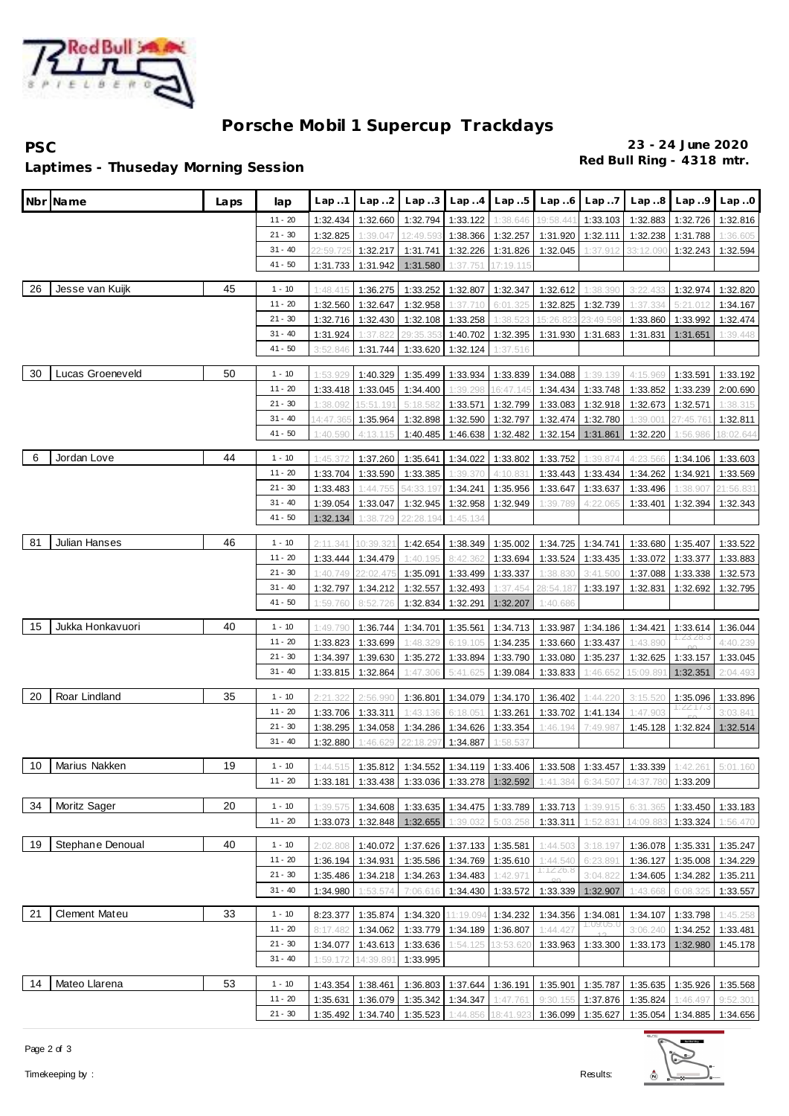

## **Porsche Mobil 1 Supercup Trackdays**

**PSC 23 - 24 June 2020**

**Red Bull Ring - 4318 mtr. Laptimes - Thuseday Morning Session**

|    | Nbr¶Name         | Laps | lap                    | Lap.1                | Lap.2                | Lap.3                | Lap.4                      | Lap.5                | Lap.6                                                                                             | Lap.7                 | Lap.8     | Lap.9                 | Lap.0     |
|----|------------------|------|------------------------|----------------------|----------------------|----------------------|----------------------------|----------------------|---------------------------------------------------------------------------------------------------|-----------------------|-----------|-----------------------|-----------|
|    |                  |      | $11 - 20$              | 1:32.434             | 1:32.660             | 1:32.794             | 1:33.122                   | 1:38.646             | 19:58.441                                                                                         | 1:33.103              | 1:32.883  | 1:32.726              | 1:32.816  |
|    |                  |      | $21 - 30$              | 1:32.825             | 1:39.047             | 12:49.59             | 1:38.366                   | 1:32.257             | 1:31.920                                                                                          | 1:32.111              | 1:32.238  | 1:31.788              | 1:36.605  |
|    |                  |      | $31 - 40$              | 22:59.725            | 1:32.217             | 1:31.741             | 1:32.226                   | 1:31.826             | 1:32.045                                                                                          | 1:37.912              | 33:12.09  | 1:32.243              | 1:32.594  |
|    |                  |      | $41 - 50$              | 1:31.733             | 1:31.942             | 1:31.580             | 1:37.751                   | 17:19.115            |                                                                                                   |                       |           |                       |           |
| 26 | Jesse van Kuijk  | 45   | $1 - 10$               | 1:48.415             | 1:36.275             | 1:33.252             | 1:32.807                   | 1:32.347             | 1:32.612                                                                                          | 1:38.390              | 3:22.433  | 1:32.974              | 1:32.820  |
|    |                  |      | $11 - 20$              | 1:32.560             | 1:32.647             | 1:32.958             | 1:37.710                   | 6:01.325             | 1:32.825                                                                                          | 1:32.739              | 1:37.334  | 5:21.012              | 1:34.167  |
|    |                  |      | $21 - 30$              | 1:32.716             | 1:32.430             | 1:32.108             | 1:33.258                   | 1:38.523             | 15:26.823                                                                                         | 23:49.59              | 1:33.860  | 1:33.992              | 1:32.474  |
|    |                  |      | $31 - 40$              | 1:31.924             | 1:37.822             | 29:35.35             | 1:40.702                   | 1:32.395             | 1:31.930                                                                                          | 1:31.683              | 1:31.831  | 1:31.651              | 1:39.448  |
|    |                  |      | 41 - 50                | 3:52.846             | 1:31.744             | 1:33.620             | 1:32.124                   | 1:37.516             |                                                                                                   |                       |           |                       |           |
| 30 | Lucas Groeneveld | 50   | $1 - 10$               | 1:53.929             | 1:40.329             | 1:35.499             | 1:33.934                   | 1:33.839             | 1:34.088                                                                                          | 1:39.139              | 4:15.969  | 1:33.591              | 1:33.192  |
|    |                  |      | $11 - 20$              | 1:33.418             | 1:33.045             | 1:34.400             | 1:39.298                   | 16:47.145            | 1:34.434                                                                                          | 1:33.748              | 1:33.852  | 1:33.239              | 2:00.690  |
|    |                  |      | $21 - 30$              | 1:38.092             | 15:51.191            | 5:18.582             | 1:33.571                   | 1:32.799             | 1:33.083                                                                                          | 1:32.918              | 1:32.673  | 1:32.571              | 1:38.315  |
|    |                  |      | $31 - 40$              | 4:47.36              | 1:35.964             | 1:32.898             | 1:32.590                   | 1:32.797             | 1:32.474                                                                                          | 1:32.780              | 1:39.001  | 27:45.761             | 1:32.811  |
|    |                  |      | $41 - 50$              | 1:40.590             | 4:13.115             | 1:40.485             | 1:46.638                   | 1:32.482             | 1:32.154                                                                                          | 1:31.861              | 1:32.220  | 1:56.986              | 18:02.644 |
| 6  | Jordan Love      | 44   | $1 - 10$               | 1:45.372             | 1:37.260             | 1:35.641             | 1:34.022                   | 1:33.802             | 1:33.752                                                                                          | 1:39.874              | 4:23.566  | 1:34.106              | 1:33.603  |
|    |                  |      | $11 - 20$              | 1:33.704             | 1:33.590             | 1:33.385             | 1:39.370                   | 4:10.83              | 1:33.443                                                                                          | 1:33.434              | 1:34.262  | 1:34.921              | 1:33.569  |
|    |                  |      | $21 - 30$              | 1:33.483             | 1:44.755             | 54:33.197            | 1:34.241                   | 1:35.956             | 1:33.647                                                                                          | 1:33.637              | 1:33.496  | 1:38.907              | 21:56.831 |
|    |                  |      | $31 - 40$              | 1:39.054             | 1:33.047             | 1:32.945             | 1:32.958                   | 1:32.949             | 1:39.789                                                                                          | 4:22.065              | 1:33.401  | 1:32.394              | 1:32.343  |
|    |                  |      | $41 - 50$              | 1:32.134             | 1:38.729             | 22:28.194            | 1:45.134                   |                      |                                                                                                   |                       |           |                       |           |
|    |                  |      |                        |                      |                      |                      |                            |                      |                                                                                                   |                       |           |                       |           |
| 81 | Julian Hanses    | 46   | $1 - 10$               | 2:11.341             | 10:39.32             | 1:42.654             | 1:38.349                   | 1:35.002             | 1:34.725                                                                                          | 1:34.741              | 1:33.680  | 1:35.407              | 1:33.522  |
|    |                  |      | $11 - 20$              | 1:33.444             | 1:34.479             | 1:40.195             | 8:42.362                   | 1:33.694             | 1:33.524                                                                                          | 1:33.435              | 1:33.072  | 1:33.377              | 1:33.883  |
|    |                  |      | $21 - 30$              | 1:40.749             | 2:02.475             | 1:35.091             | 1:33.499                   | 1:33.337             | 1:38.830                                                                                          | 3:41.500              | 1:37.088  | 1:33.338              | 1:32.573  |
|    |                  |      | $31 - 40$<br>41 - 50   | 1:32.797<br>1:59.760 | 1:34.212<br>8:52.726 | 1:32.557<br>1:32.834 | 1:32.493<br>1:32.291       | 1:37.454<br>1:32.207 | 28:54.187<br>1:40.686                                                                             | 1:33.197              | 1:32.831  | 1:32.692              | 1:32.795  |
|    |                  |      |                        |                      |                      |                      |                            |                      |                                                                                                   |                       |           |                       |           |
| 15 | Jukka Honkavuori | 40   | $1 - 10$               | 1:49.790             | 1:36.744             | 1:34.701             | 1:35.561                   | 1:34.713             | 1:33.987                                                                                          | 1:34.186              | 1:34.421  | 1:33.614<br>1.23.28.3 | 1:36.044  |
|    |                  |      | $11 - 20$              | 1:33.823             | 1:33.699             | 1:48.329             | 6:19.105                   | 1:34.235             | 1:33.660                                                                                          | 1:33.437              | 1:43.890  |                       | 4:40.239  |
|    |                  |      | $21 - 30$              | 1:34.397             | 1:39.630             | 1:35.272             | 1:33.894                   | 1:33.790             | 1:33.080                                                                                          | 1:35.237              | 1:32.625  | 1:33.157              | 1:33.045  |
|    |                  |      | $31 - 40$              | 1:33.815             | 1:32.864             | 1:47.306             | 5:41.625                   | 1:39.084             | 1:33.833                                                                                          | 1:46.65               | 15:09.89  | 1:32.351              | 2:04.493  |
| 20 | Roar Lindland    | 35   | $1 - 10$               | 2:21.322             | 2:56.990             | 1:36.801             | 1:34.079                   | 1:34.170             | 1:36.402                                                                                          | 1:44.220              | 3:15.520  | 1:35.096              | 1:33.896  |
|    |                  |      | $11 - 20$              | 1:33.706             | 1:33.311             | 1:43.136             | 6:18.051                   | 1:33.261             | 1:33.702                                                                                          | 1:41.134              | 1:47.903  | 1:22:17.3             | 3:03.841  |
|    |                  |      | $21 - 30$              | 1:38.295             | 1:34.058             | 1:34.286             | 1:34.626                   | 1:33.354             | 1:46.194                                                                                          | 7:49.987              | 1:45.128  | 1:32.824              | 1:32.514  |
|    |                  |      | $31 - 40$              | 1:32.880             | 1:46.629             | 22:18.29             | 1:34.887                   | 1:58.537             |                                                                                                   |                       |           |                       |           |
| 10 | Marius Nakken    | 19   | $1 - 10$               | 1:44.515             | 1:35.812             | 1:34.552             |                            | 1:34.119 1:33.406    | 1:33.508                                                                                          | 1:33.457              | 1:33.339  | 1:42.261              | 5:01.160  |
|    |                  |      | $11 - 20$              |                      |                      |                      |                            |                      | 1:33.181   1:33.438   1:33.036   1:33.278   1:32.592   1:41.384   6:34.507   14:37.780   1:33.209 |                       |           |                       |           |
| 34 | Moritz Sager     | 20   | $1 - 10$               | 1:39.575             | 1:34.608             |                      | 1:33.635 1:34.475 1:33.789 |                      | 1:33.713                                                                                          | 1:39.915              | 6:31.365  | 1:33.450              | 1:33.183  |
|    |                  |      | $11 - 20$              | 1:33.073             | 1:32.848             | 1:32.655             | 1:39.032                   | 5:03.258             | 1:33.311                                                                                          | 1:52.831              | 14:09.883 | 1:33.324              | 1:56.470  |
|    |                  |      |                        |                      |                      |                      |                            |                      |                                                                                                   |                       |           |                       |           |
| 19 | Stephane Denoual | 40   | $1 - 10$               | 2:02.808             | 1:40.072             |                      | 1:37.626 1:37.133          | 1:35.581             | 1:44.503                                                                                          | 3:18.197              | 1:36.078  | 1:35.331              | 1:35.247  |
|    |                  |      | $11 - 20$<br>$21 - 30$ | 1:36.194             | 1:34.931             |                      | 1:35.586 1:34.769 1:35.610 |                      | 1:44.540<br>1:7226.8                                                                              | 6:23.891              | 1:36.127  | 1:35.008              | 1:34.229  |
|    |                  |      | $31 - 40$              | 1:35.486             | 1:34.218             |                      | 1:34.263 1:34.483          | 1:42.971             |                                                                                                   | 3:04.822              | 1:34.605  | 1:34.282              | 1:35.211  |
|    |                  |      |                        | 1:34.980             | 1:53.574             | 7:06.616             | 1:34.430                   | 1:33.572             | 1:33.339                                                                                          | 1:32.907              | 1:43.668  | 6:08.325              | 1:33.557  |
| 21 | Clement Mateu    | 33   | $1 - 10$               | 8:23.377             | 1:35.874             | 1:34.320             | 1:19.094                   | 1:34.232             | 1:34.356                                                                                          | 1:34.081<br>1:09:05.0 |           | 1:34.107 1:33.798     | 1:45.258  |
|    |                  |      | $11 - 20$              | 8:17.482             | 1:34.062             |                      | 1:33.779 1:34.189 1:36.807 |                      | 1:44.427                                                                                          |                       | 3:06.240  | 1:34.252              | 1:33.481  |
|    |                  |      | $21 - 30$              | 1:34.077             | 1:43.613             | 1:33.636             | 1:54.125                   | 13:53.620            | 1:33.963                                                                                          | 1:33.300              | 1:33.173  | 1:32.980              | 1:45.178  |
|    |                  |      | 31 - 40                | 1:59.172             | 14:39.891            | 1:33.995             |                            |                      |                                                                                                   |                       |           |                       |           |
| 14 | Mateo Llarena    | 53   | $1 - 10$               |                      | 1:43.354 1:38.461    |                      | 1:36.803 1:37.644 1:36.191 |                      | 1:35.901                                                                                          | 1:35.787              |           | 1:35.635 1:35.926     | 1:35.568  |
|    |                  |      | $11 - 20$              | 1:35.631             | 1:36.079             | 1:35.342             | 1:34.347                   | 1:47.761             | 9:30.155                                                                                          | 1:37.876              | 1:35.824  | 1:46.497              | 9:52.301  |
|    |                  |      | $21 - 30$              |                      | 1:35.492 1:34.740    |                      |                            |                      | 1:35.523 1:44.856 18:41.923 1:36.099 1:35.627 1:35.054 1:34.885 1:34.656                          |                       |           |                       |           |